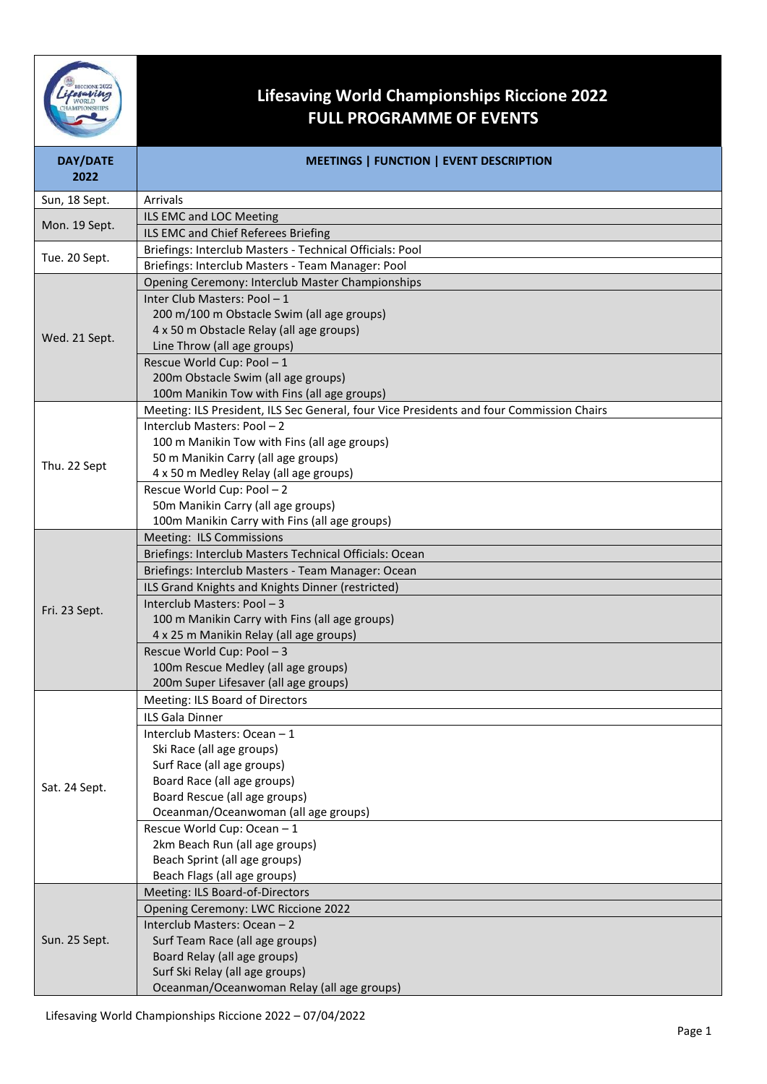

## **Lifesaving World Championships Riccione 2022 FULL PROGRAMME OF EVENTS**

| <b>DAY/DATE</b><br>2022 | MEETINGS   FUNCTION   EVENT DESCRIPTION                                                   |
|-------------------------|-------------------------------------------------------------------------------------------|
| Sun, 18 Sept.           | Arrivals                                                                                  |
| Mon. 19 Sept.           | ILS EMC and LOC Meeting                                                                   |
|                         | ILS EMC and Chief Referees Briefing                                                       |
| Tue. 20 Sept.           | Briefings: Interclub Masters - Technical Officials: Pool                                  |
|                         | Briefings: Interclub Masters - Team Manager: Pool                                         |
|                         | Opening Ceremony: Interclub Master Championships                                          |
|                         | Inter Club Masters: Pool - 1                                                              |
| Wed. 21 Sept.           | 200 m/100 m Obstacle Swim (all age groups)                                                |
|                         | 4 x 50 m Obstacle Relay (all age groups)                                                  |
|                         | Line Throw (all age groups)                                                               |
|                         | Rescue World Cup: Pool - 1                                                                |
|                         | 200m Obstacle Swim (all age groups)                                                       |
|                         | 100m Manikin Tow with Fins (all age groups)                                               |
|                         | Meeting: ILS President, ILS Sec General, four Vice Presidents and four Commission Chairs  |
|                         | Interclub Masters: Pool - 2                                                               |
|                         | 100 m Manikin Tow with Fins (all age groups)                                              |
| Thu. 22 Sept            | 50 m Manikin Carry (all age groups)                                                       |
|                         | 4 x 50 m Medley Relay (all age groups)                                                    |
|                         | Rescue World Cup: Pool - 2                                                                |
|                         | 50m Manikin Carry (all age groups)                                                        |
|                         | 100m Manikin Carry with Fins (all age groups)                                             |
|                         | Meeting: ILS Commissions                                                                  |
|                         | Briefings: Interclub Masters Technical Officials: Ocean                                   |
|                         | Briefings: Interclub Masters - Team Manager: Ocean                                        |
|                         | ILS Grand Knights and Knights Dinner (restricted)                                         |
| Fri. 23 Sept.           | Interclub Masters: Pool - 3                                                               |
|                         | 100 m Manikin Carry with Fins (all age groups)<br>4 x 25 m Manikin Relay (all age groups) |
|                         | Rescue World Cup: Pool - 3                                                                |
|                         | 100m Rescue Medley (all age groups)                                                       |
|                         | 200m Super Lifesaver (all age groups)                                                     |
|                         | Meeting: ILS Board of Directors                                                           |
| Sat. 24 Sept.           | ILS Gala Dinner                                                                           |
|                         | Interclub Masters: Ocean - 1                                                              |
|                         | Ski Race (all age groups)                                                                 |
|                         | Surf Race (all age groups)                                                                |
|                         | Board Race (all age groups)                                                               |
|                         | Board Rescue (all age groups)                                                             |
|                         | Oceanman/Oceanwoman (all age groups)                                                      |
|                         | Rescue World Cup: Ocean - 1                                                               |
|                         | 2km Beach Run (all age groups)                                                            |
|                         | Beach Sprint (all age groups)                                                             |
|                         | Beach Flags (all age groups)                                                              |
| Sun. 25 Sept.           | Meeting: ILS Board-of-Directors                                                           |
|                         | Opening Ceremony: LWC Riccione 2022                                                       |
|                         | Interclub Masters: Ocean - 2                                                              |
|                         | Surf Team Race (all age groups)                                                           |
|                         | Board Relay (all age groups)                                                              |
|                         | Surf Ski Relay (all age groups)                                                           |
|                         | Oceanman/Oceanwoman Relay (all age groups)                                                |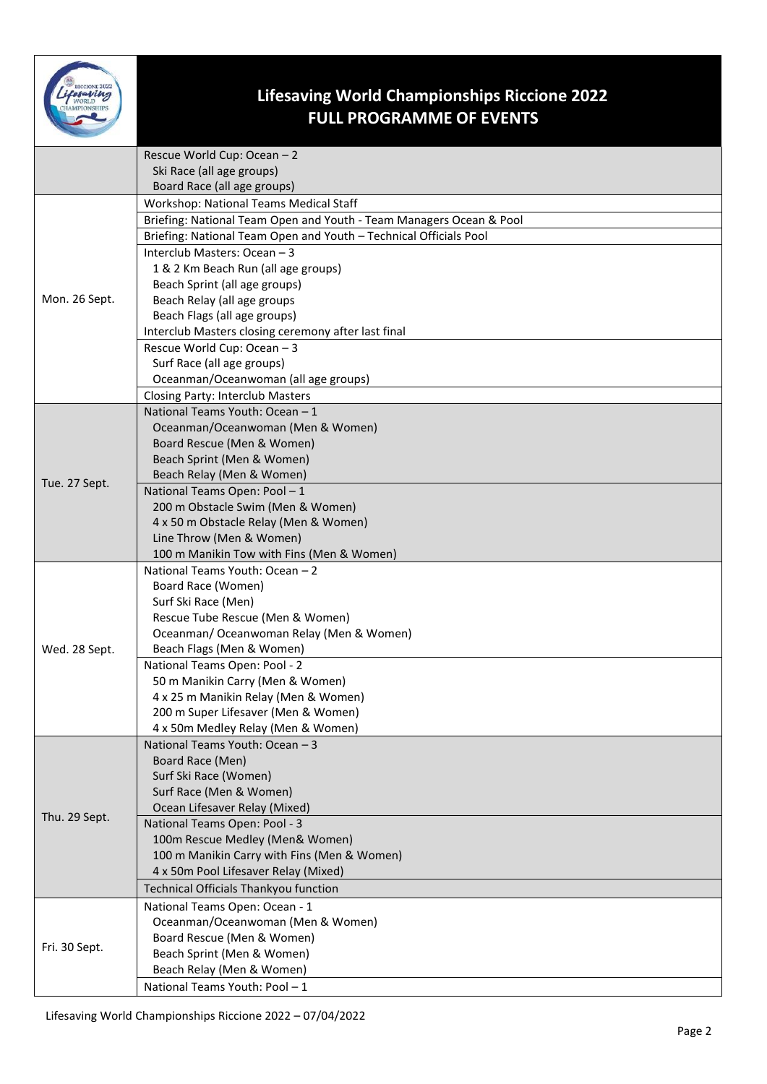

## **Lifesaving World Championships Riccione 2022 FULL PROGRAMME OF EVENTS**

|               | Rescue World Cup: Ocean - 2                                         |
|---------------|---------------------------------------------------------------------|
|               | Ski Race (all age groups)                                           |
|               | Board Race (all age groups)                                         |
| Mon. 26 Sept. | Workshop: National Teams Medical Staff                              |
|               | Briefing: National Team Open and Youth - Team Managers Ocean & Pool |
|               | Briefing: National Team Open and Youth - Technical Officials Pool   |
|               | Interclub Masters: Ocean - 3                                        |
|               | 1 & 2 Km Beach Run (all age groups)                                 |
|               | Beach Sprint (all age groups)                                       |
|               | Beach Relay (all age groups                                         |
|               | Beach Flags (all age groups)                                        |
|               | Interclub Masters closing ceremony after last final                 |
|               | Rescue World Cup: Ocean - 3                                         |
|               | Surf Race (all age groups)                                          |
|               | Oceanman/Oceanwoman (all age groups)                                |
|               | Closing Party: Interclub Masters                                    |
|               | National Teams Youth: Ocean - 1                                     |
|               | Oceanman/Oceanwoman (Men & Women)                                   |
|               | Board Rescue (Men & Women)                                          |
|               | Beach Sprint (Men & Women)                                          |
| Tue. 27 Sept. | Beach Relay (Men & Women)<br>National Teams Open: Pool - 1          |
|               | 200 m Obstacle Swim (Men & Women)                                   |
|               | 4 x 50 m Obstacle Relay (Men & Women)                               |
|               | Line Throw (Men & Women)                                            |
|               | 100 m Manikin Tow with Fins (Men & Women)                           |
|               | National Teams Youth: Ocean - 2                                     |
|               | Board Race (Women)                                                  |
|               | Surf Ski Race (Men)                                                 |
|               | Rescue Tube Rescue (Men & Women)                                    |
|               | Oceanman/ Oceanwoman Relay (Men & Women)                            |
| Wed. 28 Sept. | Beach Flags (Men & Women)                                           |
|               | National Teams Open: Pool - 2                                       |
|               | 50 m Manikin Carry (Men & Women)                                    |
|               | 4 x 25 m Manikin Relay (Men & Women)                                |
|               | 200 m Super Lifesaver (Men & Women)                                 |
|               | 4 x 50m Medley Relay (Men & Women)                                  |
| Thu. 29 Sept. | National Teams Youth: Ocean - 3                                     |
|               | Board Race (Men)                                                    |
|               | Surf Ski Race (Women)                                               |
|               | Surf Race (Men & Women)<br>Ocean Lifesaver Relay (Mixed)            |
|               | National Teams Open: Pool - 3                                       |
|               | 100m Rescue Medley (Men& Women)                                     |
|               | 100 m Manikin Carry with Fins (Men & Women)                         |
|               | 4 x 50m Pool Lifesaver Relay (Mixed)                                |
|               | Technical Officials Thankyou function                               |
|               | National Teams Open: Ocean - 1                                      |
| Fri. 30 Sept. | Oceanman/Oceanwoman (Men & Women)                                   |
|               | Board Rescue (Men & Women)                                          |
|               | Beach Sprint (Men & Women)                                          |
|               | Beach Relay (Men & Women)                                           |
|               | National Teams Youth: Pool - 1                                      |
|               |                                                                     |